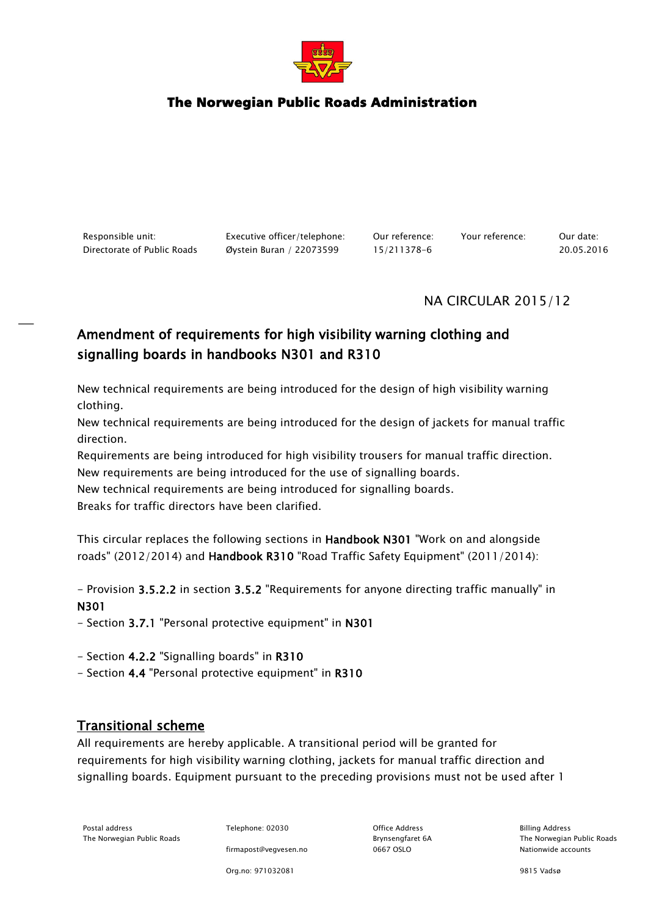

# The Norwegian Public Roads Administration

Responsible unit: Executive officer/telephone: Our reference: Your reference: Our date: Directorate of Public Roads Øystein Buran / 22073599 15/211378-6 20.05.2016

## NA CIRCULAR 2015/12

# Amendment of requirements for high visibility warning clothing and signalling boards in handbooks N301 and R310

New technical requirements are being introduced for the design of high visibility warning clothing.

New technical requirements are being introduced for the design of jackets for manual traffic direction.

Requirements are being introduced for high visibility trousers for manual traffic direction. New requirements are being introduced for the use of signalling boards.

New technical requirements are being introduced for signalling boards.

Breaks for traffic directors have been clarified.

This circular replaces the following sections in Handbook N301 "Work on and alongside roads" (2012/2014) and Handbook R310 "Road Traffic Safety Equipment" (2011/2014):

- Provision 3.5.2.2 in section 3.5.2 "Requirements for anyone directing traffic manually" in N301

- Section 3.7.1 "Personal protective equipment" in N301

- Section 4.2.2 "Signalling boards" in R310
- Section 4.4 "Personal protective equipment" in R310

## Transitional scheme

All requirements are hereby applicable. A transitional period will be granted for requirements for high visibility warning clothing, jackets for manual traffic direction and signalling boards. Equipment pursuant to the preceding provisions must not be used after 1

Postal address **Telephone: 02030** Office Address Billing Address Billing Address The Norwegian Public Roads Brynsengfaret 6A The Norwegian Public Roads

firmapost@vegvesen.no 0667 OSLO Nationwide accounts

Org.no: 971032081 9815 Vadsø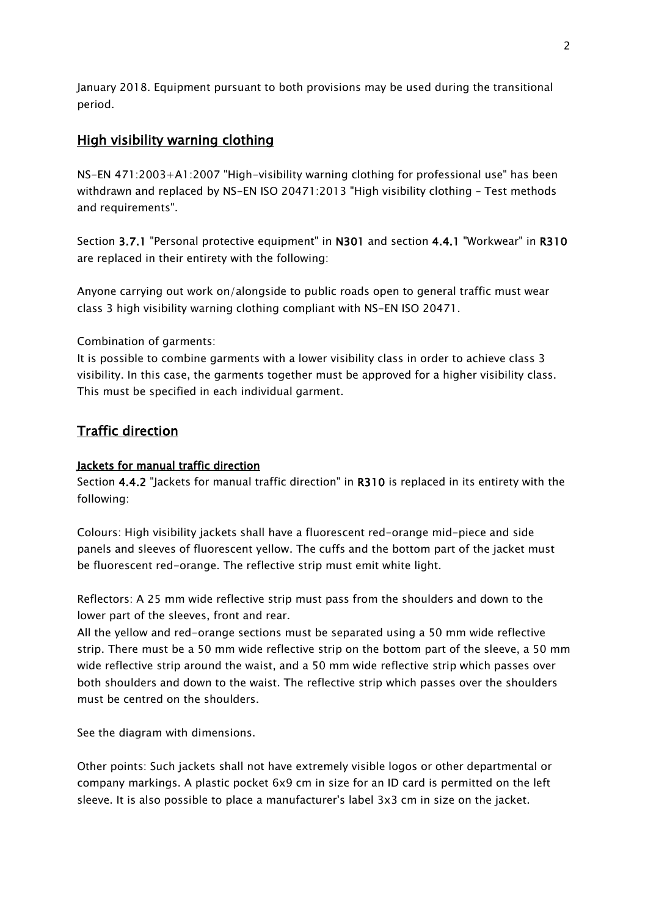January 2018. Equipment pursuant to both provisions may be used during the transitional period.

## High visibility warning clothing

NS-EN 471:2003+A1:2007 "High-visibility warning clothing for professional use" has been withdrawn and replaced by NS-EN ISO 20471:2013 "High visibility clothing – Test methods and requirements".

Section 3.7.1 "Personal protective equipment" in N301 and section 4.4.1 "Workwear" in R310 are replaced in their entirety with the following:

Anyone carrying out work on/alongside to public roads open to general traffic must wear class 3 high visibility warning clothing compliant with NS-EN ISO 20471.

#### Combination of garments:

It is possible to combine garments with a lower visibility class in order to achieve class 3 visibility. In this case, the garments together must be approved for a higher visibility class. This must be specified in each individual garment.

## Traffic direction

## Jackets for manual traffic direction

Section 4.4.2 "Jackets for manual traffic direction" in R310 is replaced in its entirety with the following:

Colours: High visibility jackets shall have a fluorescent red-orange mid-piece and side panels and sleeves of fluorescent yellow. The cuffs and the bottom part of the jacket must be fluorescent red-orange. The reflective strip must emit white light.

Reflectors: A 25 mm wide reflective strip must pass from the shoulders and down to the lower part of the sleeves, front and rear.

All the yellow and red-orange sections must be separated using a 50 mm wide reflective strip. There must be a 50 mm wide reflective strip on the bottom part of the sleeve, a 50 mm wide reflective strip around the waist, and a 50 mm wide reflective strip which passes over both shoulders and down to the waist. The reflective strip which passes over the shoulders must be centred on the shoulders.

See the diagram with dimensions.

Other points: Such jackets shall not have extremely visible logos or other departmental or company markings. A plastic pocket 6x9 cm in size for an ID card is permitted on the left sleeve. It is also possible to place a manufacturer's label 3x3 cm in size on the jacket.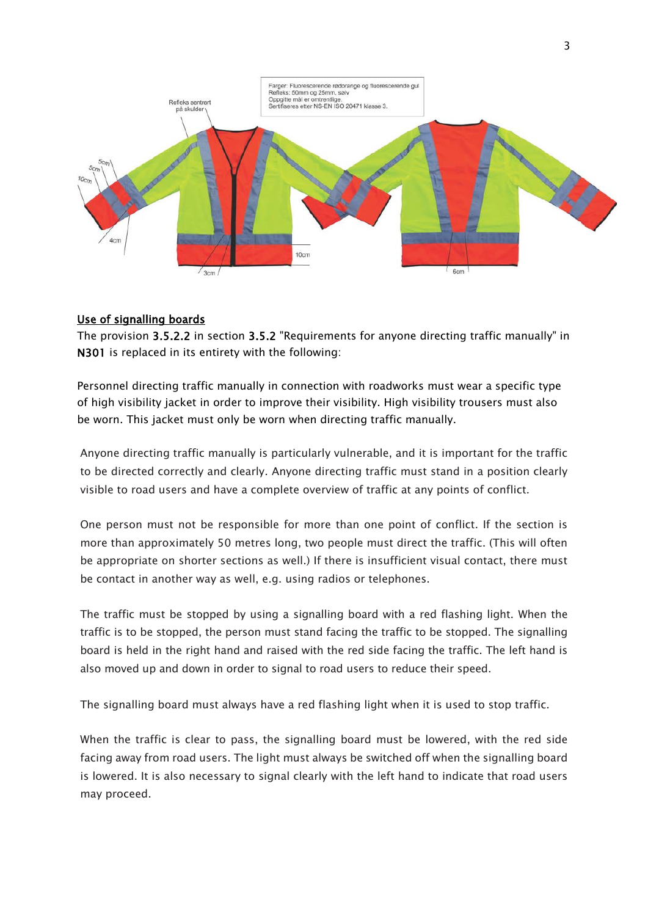

### Use of signalling boards

The provision 3.5.2.2 in section 3.5.2 "Requirements for anyone directing traffic manually" in N301 is replaced in its entirety with the following:

Personnel directing traffic manually in connection with roadworks must wear a specific type of high visibility jacket in order to improve their visibility. High visibility trousers must also be worn. This jacket must only be worn when directing traffic manually.

Anyone directing traffic manually is particularly vulnerable, and it is important for the traffic to be directed correctly and clearly. Anyone directing traffic must stand in a position clearly visible to road users and have a complete overview of traffic at any points of conflict.

One person must not be responsible for more than one point of conflict. If the section is more than approximately 50 metres long, two people must direct the traffic. (This will often be appropriate on shorter sections as well.) If there is insufficient visual contact, there must be contact in another way as well, e.g. using radios or telephones.

The traffic must be stopped by using a signalling board with a red flashing light. When the traffic is to be stopped, the person must stand facing the traffic to be stopped. The signalling board is held in the right hand and raised with the red side facing the traffic. The left hand is also moved up and down in order to signal to road users to reduce their speed.

The signalling board must always have a red flashing light when it is used to stop traffic.

When the traffic is clear to pass, the signalling board must be lowered, with the red side facing away from road users. The light must always be switched off when the signalling board is lowered. It is also necessary to signal clearly with the left hand to indicate that road users may proceed.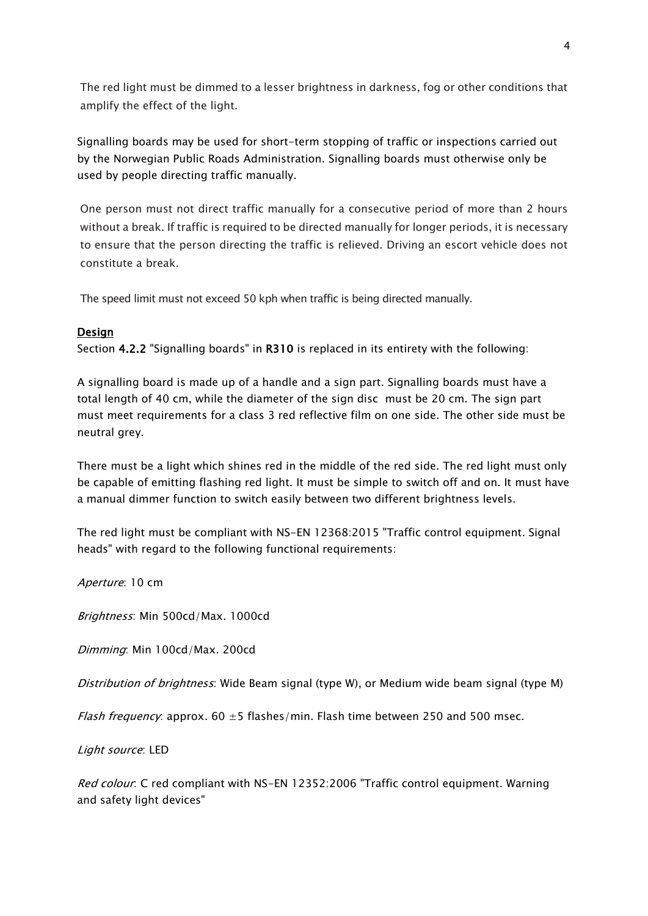The red light must be dimmed to a lesser brightness in darkness, fog or other conditions that amplify the effect of the light.

Signalling boards may be used for short-term stopping of traffic or inspections carried out by the Norwegian Public Roads Administration. Signalling boards must otherwise only be used by people directing traffic manually.

One person must not direct traffic manually for a consecutive period of more than 2 hours without a break. If traffic is required to be directed manually for longer periods, it is necessary to ensure that the person directing the traffic is relieved. Driving an escort vehicle does not constitute a break.

The speed limit must not exceed 50 kph when traffic is being directed manually.

#### Design

Section 4.2.2 "Signalling boards" in R310 is replaced in its entirety with the following:

A signalling board is made up of a handle and a sign part. Signalling boards must have a total length of 40 cm, while the diameter of the sign disc must be 20 cm. The sign part must meet requirements for a class 3 red reflective film on one side. The other side must be neutral grey.

There must be a light which shines red in the middle of the red side. The red light must only be capable of emitting flashing red light. It must be simple to switch off and on. It must have a manual dimmer function to switch easily between two different brightness levels.

The red light must be compliant with NS-EN 12368:2015 "Traffic control equipment. Signal heads" with regard to the following functional requirements:

Aperture: 10 cm

Brightness: Min 500cd/Max. 1000cd

Dimming: Min 100cd/Max. 200cd

Distribution of brightness: Wide Beam signal (type W), or Medium wide beam signal (type M)

*Flash frequency*: approx.  $60 \pm 5$  flashes/min. Flash time between 250 and 500 msec.

Light source: LED

Red colour: C red compliant with NS-EN 12352:2006 "Traffic control equipment. Warning and safety light devices"